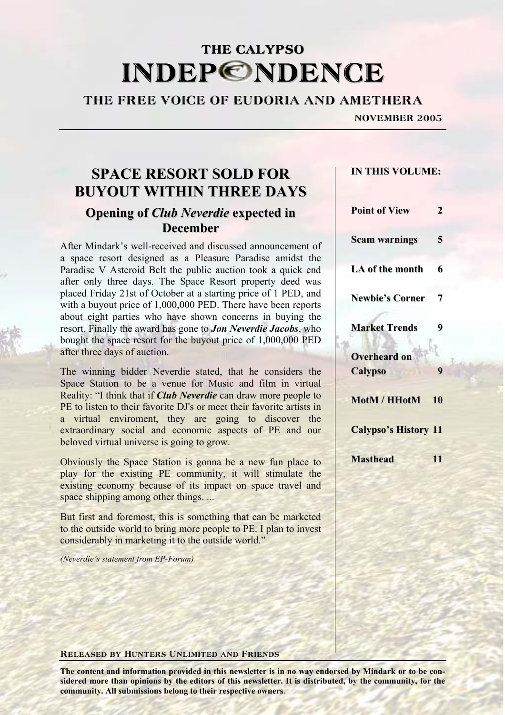## THE CALYPSO **INDEPONDENCE**

## THE FREE VOICE OF EUDORIA AND AMETHERA

NOVEMBER 2005

## **SPACE RESORT SOLD FOR BUYOUT WITHIN THREE DAYS Opening of** *Club Neverdie* **expected in December**

After Mindark's well-received and discussed announcement of a space resort designed as a Pleasure Paradise amidst the Paradise V Asteroid Belt the public auction took a quick end after only three days. The Space Resort property deed was placed Friday 21st of October at a starting price of 1 PED, and with a buyout price of 1,000,000 PED. There have been reports about eight parties who have shown concerns in buying the resort. Finally the award has gone to *Jon Neverdie Jacobs*, who bought the space resort for the buyout price of 1,000,000 PED after three days of auction.

The winning bidder Neverdie stated, that he considers the Space Station to be a venue for Music and film in virtual Reality: "I think that if *Club Neverdie* can draw more people to PE to listen to their favorite DJ's or meet their favorite artists in a virtual enviroment, they are going to discover the extraordinary social and economic aspects of PE and our beloved virtual universe is going to grow.

Obviously the Space Station is gonna be a new fun place to play for the existing PE community, it will stimulate the existing economy because of its impact on space travel and space shipping among other things. ...

But first and foremost, this is something that can be marketed to the outside world to bring more people to PE. I plan to invest considerably in marketing it to the outside world."

*(Neverdie's statement from EP-Forum)* 

#### Released by Hunters Unlimited and Friends

**The content and information provided in this newsletter is in no way endorsed by Mindark or to be considered more than opinions by the editors of this newsletter. It is distributed, by the community, for the community. All submissions belong to their respective owners**.

# **Point of View 2**

**Scam warnings 5**

**IN THIS VOLUME:**

**LA of the month 6 Newbie's Corner 7**

**Market Trends 9**

**Overheard on**  $Calvpso<sup>3</sup>$ 

**MotM / HHotM 10**

**Calypso's History 11**

**Masthead 11**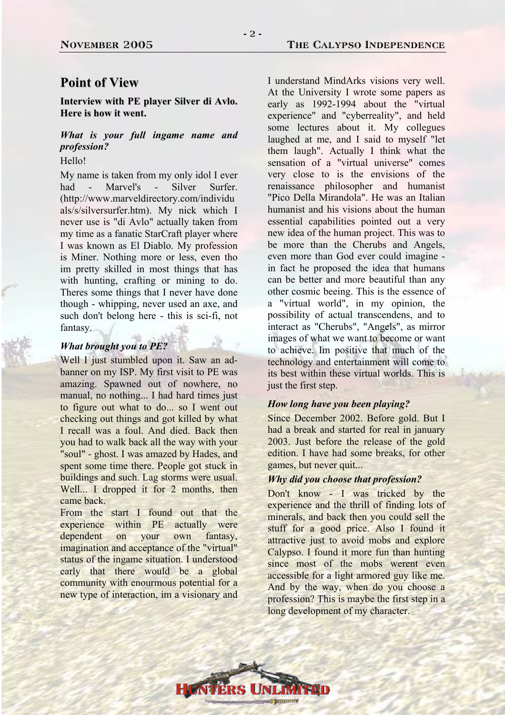## **Point of View**

**Interview with PE player Silver di Avlo. Here is how it went.**

## *What is your full ingame name and profession?*

#### Hello!

My name is taken from my only idol I ever had - Marvel's - Silver Surfer. (http://www.marveldirectory.com/individu als/s/silversurfer.htm). My nick which I never use is "di Avlo" actually taken from my time as a fanatic StarCraft player where I was known as El Diablo. My profession is Miner. Nothing more or less, even tho im pretty skilled in most things that has with hunting, crafting or mining to do. Theres some things that I never have done though - whipping, never used an axe, and such don't belong here - this is sci-fi, not fantasy.

#### *What brought you to PE?*

Well I just stumbled upon it. Saw an adbanner on my ISP. My first visit to PE was amazing. Spawned out of nowhere, no manual, no nothing... I had hard times just to figure out what to do... so I went out checking out things and got killed by what I recall was a foul. And died. Back then you had to walk back all the way with your "soul" - ghost. I was amazed by Hades, and spent some time there. People got stuck in buildings and such. Lag storms were usual. Well... I dropped it for 2 months, then came back.

From the start I found out that the experience within PE actually were dependent on your own fantasy, imagination and acceptance of the "virtual" status of the ingame situation. I understood early that there would be a global community with enourmous potential for a new type of interaction, im a visionary and

I understand MindArks visions very well. At the University I wrote some papers as early as 1992-1994 about the "virtual experience" and "cyberreality", and held some lectures about it. My collegues laughed at me, and I said to myself "let them laugh". Actually I think what the sensation of a "virtual universe" comes very close to is the envisions of the renaissance philosopher and humanist "Pico Della Mirandola". He was an Italian humanist and his visions about the human essential capabilities pointed out a very new idea of the human project. This was to be more than the Cherubs and Angels, even more than God ever could imagine in fact he proposed the idea that humans can be better and more beautiful than any other cosmic beeing. This is the essence of a "virtual world", in my opinion, the possibility of actual transcendens, and to interact as "Cherubs", "Angels", as mirror images of what we want to become or want to achieve. Im positive that much of the technology and entertainment will come to its best within these virtual worlds. This is just the first step.

#### *How long have you been playing?*

Since December 2002. Before gold. But I had a break and started for real in january 2003. Just before the release of the gold edition. I have had some breaks, for other games, but never quit...

#### *Why did you choose that profession?*

Don't know - I was tricked by the experience and the thrill of finding lots of minerals, and back then you could sell the stuff for a good price. Also I found it attractive just to avoid mobs and explore Calypso. I found it more fun than hunting since most of the mobs werent even accessible for a light armored guy like me. And by the way, when do you choose a profession? This is maybe the first step in a long development of my character.

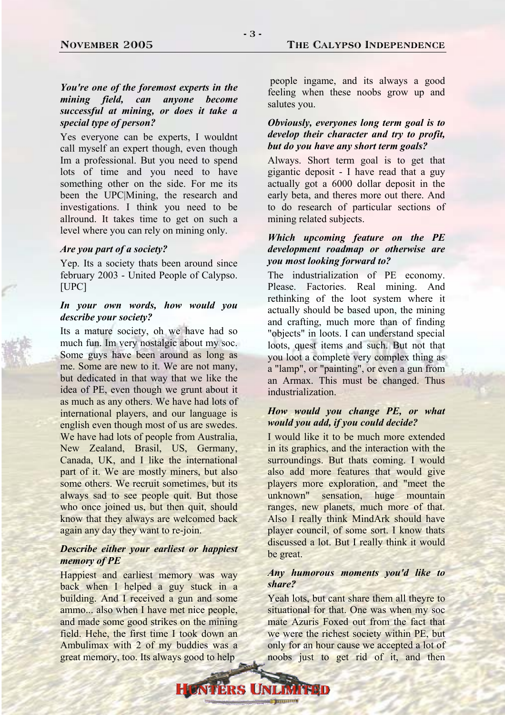#### November 2005 The Calypso Independence

#### *You're one of the foremost experts in the mining field, can anyone become successful at mining, or does it take a special type of person?*

Yes everyone can be experts, I wouldnt call myself an expert though, even though Im a professional. But you need to spend lots of time and you need to have something other on the side. For me its been the UPC|Mining, the research and investigations. I think you need to be allround. It takes time to get on such a level where you can rely on mining only.

#### *Are you part of a society?*

Yep. Its a society thats been around since february 2003 - United People of Calypso. [UPC]

#### *In your own words, how would you describe your society?*

Its a mature society, oh we have had so much fun. Im very nostalgic about my soc. Some guys have been around as long as me. Some are new to it. We are not many, but dedicated in that way that we like the idea of PE, even though we grunt about it as much as any others. We have had lots of international players, and our language is english even though most of us are swedes. We have had lots of people from Australia, New Zealand, Brasil, US, Germany, Canada, UK, and I like the international part of it. We are mostly miners, but also some others. We recruit sometimes, but its always sad to see people quit. But those who once joined us, but then quit, should know that they always are welcomed back again any day they want to re-join.

#### *Describe either your earliest or happiest memory of PE*

Happiest and earliest memory was way back when I helped a guy stuck in a building. And I received a gun and some ammo... also when I have met nice people, and made some good strikes on the mining field. Hehe, the first time I took down an Ambulimax with 2 of my buddies was a great memory, too. Its always good to help

 people ingame, and its always a good feeling when these noobs grow up and salutes you.

#### *Obviously, everyones long term goal is to develop their character and try to profit, but do you have any short term goals?*

Always. Short term goal is to get that gigantic deposit - I have read that a guy actually got a 6000 dollar deposit in the early beta, and theres more out there. And to do research of particular sections of mining related subjects.

#### *Which upcoming feature on the PE development roadmap or otherwise are you most looking forward to?*

The industrialization of PE economy. Please. Factories. Real mining. And rethinking of the loot system where it actually should be based upon, the mining and crafting, much more than of finding "objects" in loots. I can understand special loots, quest items and such. But not that you loot a complete very complex thing as a "lamp", or "painting", or even a gun from an Armax. This must be changed. Thus industrialization.

#### *How would you change PE, or what would you add, if you could decide?*

I would like it to be much more extended in its graphics, and the interaction with the surroundings. But thats coming. I would also add more features that would give players more exploration, and "meet the unknown" sensation, huge mountain ranges, new planets, much more of that. Also I really think MindArk should have player council, of some sort. I know thats discussed a lot. But I really think it would be great.

#### *Any humorous moments you'd like to share?*

Yeah lots, but cant share them all theyre to situational for that. One was when my soc mate Azuris Foxed out from the fact that we were the richest society within PE, but only for an hour cause we accepted a lot of noobs just to get rid of it, and then

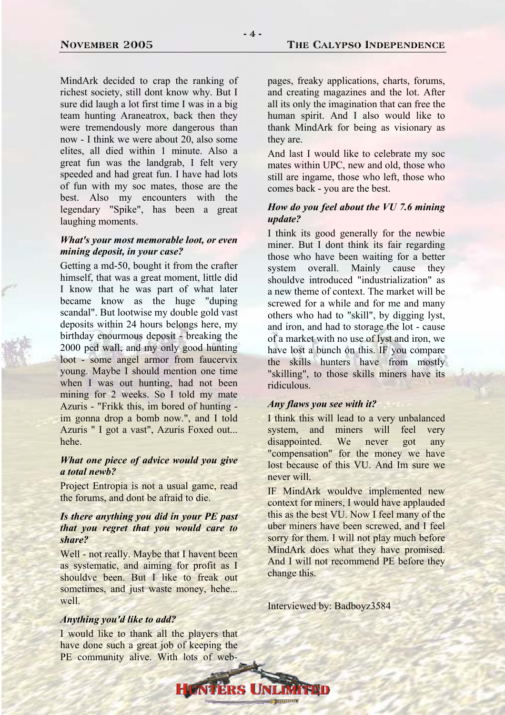MindArk decided to crap the ranking of richest society, still dont know why. But I sure did laugh a lot first time I was in a big team hunting Araneatrox, back then they were tremendously more dangerous than now - I think we were about 20, also some elites, all died within 1 minute. Also a great fun was the landgrab, I felt very speeded and had great fun. I have had lots of fun with my soc mates, those are the best. Also my encounters with the legendary "Spike", has been a great laughing moments.

#### *What's your most memorable loot, or even mining deposit, in your case?*

Getting a md-50, bought it from the crafter himself, that was a great moment, little did I know that he was part of what later became know as the huge "duping scandal". But lootwise my double gold vast deposits within 24 hours belongs here, my birthday enourmous deposit - breaking the 2000 ped wall, and my only good hunting loot - some angel armor from faucervix young. Maybe I should mention one time when I was out hunting, had not been mining for 2 weeks. So I told my mate Azuris - "Frikk this, im bored of hunting im gonna drop a bomb now.", and I told Azuris " I got a vast", Azuris Foxed out... hehe.

#### *What one piece of advice would you give a total newb?*

Project Entropia is not a usual game, read the forums, and dont be afraid to die.

#### *Is there anything you did in your PE past that you regret that you would care to share?*

Well - not really. Maybe that I havent been as systematic, and aiming for profit as I shouldve been. But I like to freak out sometimes, and just waste money, hehe... well.

#### *Anything you'd like to add?*

I would like to thank all the players that have done such a great job of keeping the PE community alive. With lots of web-

**ERS U** 

pages, freaky applications, charts, forums, and creating magazines and the lot. After all its only the imagination that can free the human spirit. And I also would like to thank MindArk for being as visionary as they are.

And last I would like to celebrate my soc mates within UPC, new and old, those who still are ingame, those who left, those who comes back - you are the best.

#### *How do you feel about the VU 7.6 mining update?*

I think its good generally for the newbie miner. But I dont think its fair regarding those who have been waiting for a better system overall. Mainly cause they shouldve introduced "industrialization" as a new theme of context. The market will be screwed for a while and for me and many others who had to "skill", by digging lyst, and iron, and had to storage the lot - cause of a market with no use of lyst and iron, we have lost a bunch on this. IF you compare the skills hunters have from mostly "skilling", to those skills miners have its ridiculous.

#### *Any flaws you see with it?*

I think this will lead to a very unbalanced system, and miners will feel very disappointed. We never got any "compensation" for the money we have lost because of this VU. And Im sure we never will.

IF MindArk wouldve implemented new context for miners, I would have applauded this as the best VU. Now I feel many of the uber miners have been screwed, and I feel sorry for them. I will not play much before MindArk does what they have promised. And I will not recommend PE before they change this.

Interviewed by: Badboyz3584

 $-4-$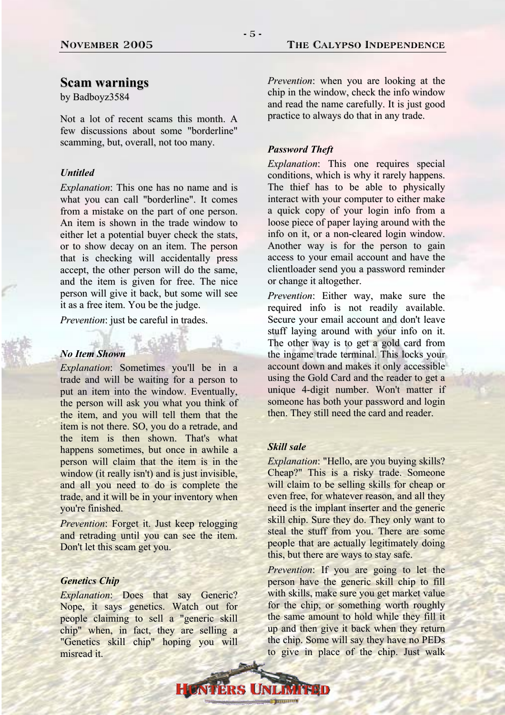## **Scam warnings**

by Badboyz3584

Not a lot of recent scams this month. A few discussions about some "borderline" scamming, but, overall, not too many.

#### *Untitled*

*Explanation*: This one has no name and is what you can call "borderline". It comes from a mistake on the part of one person. An item is shown in the trade window to either let a potential buyer check the stats, or to show decay on an item. The person that is checking will accidentally press accept, the other person will do the same, and the item is given for free. The nice person will give it back, but some will see it as a free item. You be the judge.

*Prevention*: just be careful in trades.

#### *No Item Shown*

*Explanation*: Sometimes you'll be in a trade and will be waiting for a person to put an item into the window. Eventually, the person will ask you what you think of the item, and you will tell them that the item is not there. SO, you do a retrade, and the item is then shown. That's what happens sometimes, but once in awhile a person will claim that the item is in the window (it really isn't) and is just invisible, and all you need to do is complete the trade, and it will be in your inventory when you're finished.

*Prevention*: Forget it. Just keep relogging and retrading until you can see the item. Don't let this scam get you.

#### *Genetics Chip*

*Explanation*: Does that say Generic? Nope, it says genetics. Watch out for people claiming to sell a "generic skill chip" when, in fact, they are selling a "Genetics skill chip" hoping you will misread it.

*Prevention*: when you are looking at the chip in the window, check the info window and read the name carefully. It is just good practice to always do that in any trade.

#### *Password Theft*

*Explanation*: This one requires special conditions, which is why it rarely happens. The thief has to be able to physically interact with your computer to either make a quick copy of your login info from a loose piece of paper laying around with the info on it, or a non-cleared login window. Another way is for the person to gain access to your email account and have the clientloader send you a password reminder or change it altogether.

*Prevention*: Either way, make sure the required info is not readily available. Secure your email account and don't leave stuff laying around with your info on it. The other way is to get a gold card from the ingame trade terminal. This locks your account down and makes it only accessible using the Gold Card and the reader to get a unique 4-digit number. Won't matter if someone has both your password and login then. They still need the card and reader.

#### *Skill sale*

*Explanation*: "Hello, are you buying skills? Cheap?" This is a risky trade. Someone will claim to be selling skills for cheap or even free, for whatever reason, and all they need is the implant inserter and the generic skill chip. Sure they do. They only want to steal the stuff from you. There are some people that are actually legitimately doing this, but there are ways to stay safe.

*Prevention*: If you are going to let the person have the generic skill chip to fill with skills, make sure you get market value for the chip, or something worth roughly the same amount to hold while they fill it up and then give it back when they return the chip. Some will say they have no PEDs to give in place of the chip. Just walk

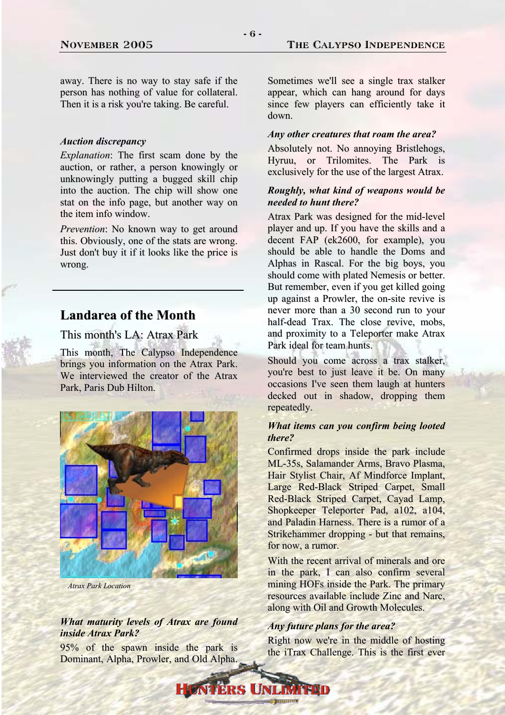away. There is no way to stay safe if the person has nothing of value for collateral. Then it is a risk you're taking. Be careful.

#### *Auction discrepancy*

*Explanation*: The first scam done by the auction, or rather, a person knowingly or unknowingly putting a bugged skill chip into the auction. The chip will show one stat on the info page, but another way on the item info window.

*Prevention*: No known way to get around this. Obviously, one of the stats are wrong. Just don't buy it if it looks like the price is wrong.

## **Landarea of the Month**

This month's LA: Atrax Park

This month, The Calypso Independence brings you information on the Atrax Park. We interviewed the creator of the Atrax Park, Paris Dub Hilton.



*Atrax Park Location*

#### *What maturity levels of Atrax are found inside Atrax Park?*

95% of the spawn inside the park is Dominant, Alpha, Prowler, and Old Alpha.

Sometimes we'll see a single trax stalker appear, which can hang around for days since few players can efficiently take it down.

#### *Any other creatures that roam the area?*

Absolutely not. No annoying Bristlehogs, Hyruu, or Trilomites. The Park is exclusively for the use of the largest Atrax.

#### *Roughly, what kind of weapons would be needed to hunt there?*

Atrax Park was designed for the mid-level player and up. If you have the skills and a decent FAP (ek2600, for example), you should be able to handle the Doms and Alphas in Rascal. For the big boys, you should come with plated Nemesis or better. But remember, even if you get killed going up against a Prowler, the on-site revive is never more than a 30 second run to your half-dead Trax. The close revive, mobs, and proximity to a Teleporter make Atrax Park ideal for team hunts.

Should you come across a trax stalker, you're best to just leave it be. On many occasions I've seen them laugh at hunters decked out in shadow, dropping them repeatedly.

#### *What items can you confirm being looted there?*

Confirmed drops inside the park include ML-35s, Salamander Arms, Bravo Plasma, Hair Stylist Chair, Af Mindforce Implant, Large Red-Black Striped Carpet, Small Red-Black Striped Carpet, Cayad Lamp, Shopkeeper Teleporter Pad, a102, a104, and Paladin Harness. There is a rumor of a Strikehammer dropping - but that remains, for now, a rumor.

With the recent arrival of minerals and ore in the park, I can also confirm several mining HOFs inside the Park. The primary resources available include Zinc and Narc, along with Oil and Growth Molecules.

#### *Any future plans for the area?*

Right now we're in the middle of hosting the iTrax Challenge. This is the first ever

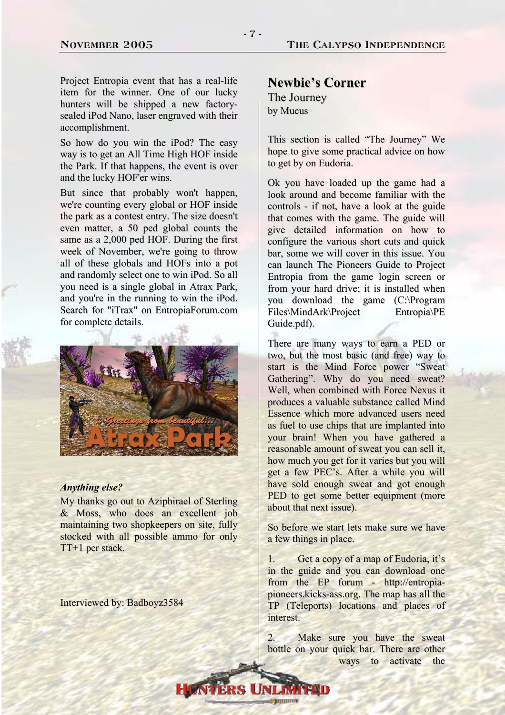Project Entropia event that has a real-life item for the winner. One of our lucky hunters will be shipped a new factorysealed iPod Nano, laser engraved with their accomplishment.

So how do you win the iPod? The easy way is to get an All Time High HOF inside the Park. If that happens, the event is over and the lucky HOF'er wins.

But since that probably won't happen, we're counting every global or HOF inside the park as a contest entry. The size doesn't even matter, a 50 ped global counts the same as a 2,000 ped HOF. During the first week of November, we're going to throw all of these globals and HOFs into a pot and randomly select one to win iPod. So all you need is a single global in Atrax Park, and you're in the running to win the iPod. Search for "iTrax" on EntropiaForum.com for complete details.



#### *Anything else?*

My thanks go out to Aziphirael of Sterling & Moss, who does an excellent job maintaining two shopkeepers on site, fully stocked with all possible ammo for only TT+1 per stack.

Interviewed by: Badboyz3584

#### **Newbie's Corner**

The Journey by Mucus

This section is called "The Journey" We hope to give some practical advice on how to get by on Eudoria.

Ok you have loaded up the game had a look around and become familiar with the controls - if not, have a look at the guide that comes with the game. The guide will give detailed information on how to configure the various short cuts and quick bar, some we will cover in this issue. You can launch The Pioneers Guide to Project Entropia from the game login screen or from your hard drive; it is installed when you download the game (C:\Program Files\MindArk\Project Entropia\PE Guide.pdf).

There are many ways to earn a PED or two, but the most basic (and free) way to start is the Mind Force power "Sweat Gathering". Why do you need sweat? Well, when combined with Force Nexus it produces a valuable substance called Mind Essence which more advanced users need as fuel to use chips that are implanted into your brain! When you have gathered a reasonable amount of sweat you can sell it, how much you get for it varies but you will get a few PEC's. After a while you will have sold enough sweat and got enough PED to get some better equipment (more about that next issue).

So before we start lets make sure we have a few things in place.

1. Get a copy of a map of Eudoria, it's in the guide and you can download one from the EP forum - http://entropiapioneers.kicks-ass.org. The map has all the TP (Teleports) locations and places of interest.

2. Make sure you have the sweat bottle on your quick bar. There are other ways to activate the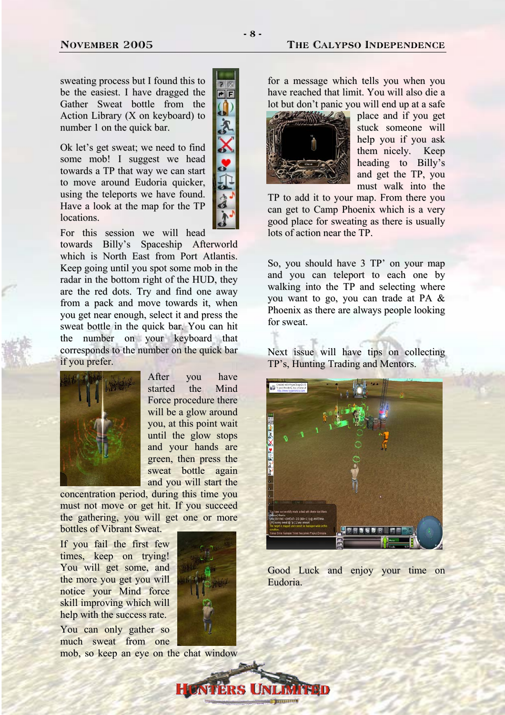#### November 2005 The Calypso Independence

sweating process but I found this to be the easiest. I have dragged the Gather Sweat bottle from the Action Library (X on keyboard) to number 1 on the quick bar.

Ok let's get sweat; we need to find some mob! I suggest we head towards a TP that way we can start to move around Eudoria quicker, using the teleports we have found. Have a look at the map for the TP locations.



For this session we will head towards Billy's Spaceship Afterworld which is North East from Port Atlantis. Keep going until you spot some mob in the radar in the bottom right of the HUD, they are the red dots. Try and find one away from a pack and move towards it, when you get near enough, select it and press the sweat bottle in the quick bar. You can hit the number on your keyboard that corresponds to the number on the quick bar if you prefer.



After you have started the Mind Force procedure there will be a glow around you, at this point wait until the glow stops and your hands are green, then press the sweat bottle again and you will start the

concentration period, during this time you must not move or get hit. If you succeed the gathering, you will get one or more bottles of Vibrant Sweat.

If you fail the first few times, keep on trying! You will get some, and the more you get you will notice your Mind force skill improving which will help with the success rate.

You can only gather so much sweat from one mob, so keep an eye on the chat window



**ERS UNI** 

for a message which tells you when you have reached that limit. You will also die a lot but don't panic you will end up at a safe



place and if you get stuck someone will help you if you ask them nicely. Keep heading to Billy's and get the TP, you must walk into the

TP to add it to your map. From there you can get to Camp Phoenix which is a very good place for sweating as there is usually lots of action near the TP.

So, you should have 3 TP' on your map and you can teleport to each one by walking into the TP and selecting where you want to go, you can trade at PA & Phoenix as there are always people looking for sweat.

Next issue will have tips on collecting TP's, Hunting Trading and Mentors.



Good Luck and enjoy your time on Eudoria.

- 8 -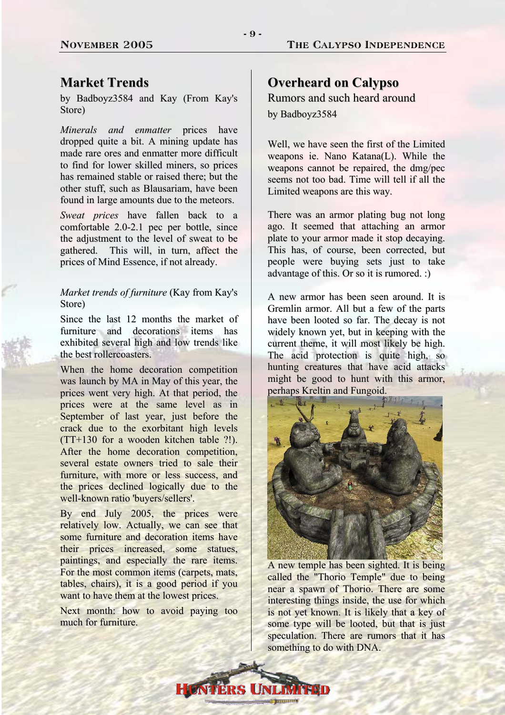## **Market Trends**

by Badboyz3584 and Kay (From Kay's Store)

*Minerals and enmatter* prices have dropped quite a bit. A mining update has made rare ores and enmatter more difficult to find for lower skilled miners, so prices has remained stable or raised there; but the other stuff, such as Blausariam, have been found in large amounts due to the meteors.

*Sweat prices* have fallen back to a comfortable 2.0-2.1 pec per bottle, since the adjustment to the level of sweat to be gathered. This will, in turn, affect the prices of Mind Essence, if not already.

#### *Market trends of furniture* (Kay from [Kay's](www.kaysstore.com) [Store\)](www.kaysstore.com)

Since the last 12 months the market of furniture and decorations items has exhibited several high and low trends like the best rollercoasters.

When the home decoration competition was launch by MA in May of this year, the prices went very high. At that period, the prices were at the same level as in September of last year, just before the crack due to the exorbitant high levels (TT+130 for a wooden kitchen table ?!). After the home decoration competition several estate owners tried to sale their furniture, with more or less success, and the prices declined logically due to the well-known ratio 'buyers/sellers'.

By end July 2005, the prices were relatively low. Actually, we can see that some furniture and decoration items have their prices increased, some statues, paintings, and especially the rare items. For the most common items (carpets, mats, tables, chairs), it is a good period if you want to have them at the lowest prices.

Next month: how to avoid paying too much for furniture.

## **Overheard on Calypso**

Rumors and such heard around by Badboyz3584

Well, we have seen the first of the Limited weapons ie. Nano Katana(L). While the weapons cannot be repaired, the dmg/pec seems not too bad. Time will tell if all the Limited weapons are this way.

There was an armor plating bug not long ago. It seemed that attaching an armor plate to your armor made it stop decaying. This has, of course, been corrected, but people were buying sets just to take advantage of this. Or so it is rumored. :)

A new armor has been seen around. It is Gremlin armor. All but a few of the parts have been looted so far. The decay is not widely known yet, but in keeping with the current theme, it will most likely be high. The acid protection is quite high, so hunting creatures that have acid attacks might be good to hunt with this armor, perhaps Kreltin and Fungoid.



A new temple has been sighted. It is being called the "Thorio Temple" due to being near a spawn of Thorio. There are some interesting things inside, the use for which is not yet known. It is likely that a key of some type will be looted, but that is just speculation. There are rumors that it has something to do with DNA.

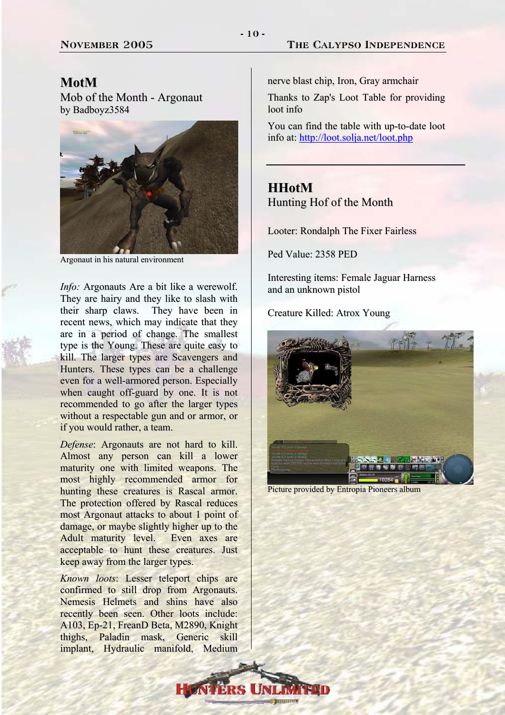### **MotM**

Mob of the Month - Argonaut by Badboyz3584



Argonaut in his natural environment

*Info:* Argonauts Are a bit like a werewolf. They are hairy and they like to slash with their sharp claws. They have been in recent news, which may indicate that they are in a period of change. The smallest type is the Young. These are quite easy to kill. The larger types are Scavengers and Hunters. These types can be a challenge even for a well-armored person. Especially when caught off-guard by one. It is not recommended to go after the larger types without a respectable gun and or armor, or if you would rather, a team.

*Defense*: Argonauts are not hard to kill. Almost any person can kill a lower maturity one with limited weapons. The most highly recommended armor for hunting these creatures is Rascal armor. The protection offered by Rascal reduces most Argonaut attacks to about 1 point of damage, or maybe slightly higher up to the Adult maturity level. Even axes are acceptable to hunt these creatures. Just keep away from the larger types.

*Known loots*: Lesser teleport chips are confirmed to still drop from Argonauts. Nemesis Helmets and shins have also recently been seen. Other loots include: A103, Ep-21, FreanD Beta, M2890, Knight thighs, Paladin mask, Generic skill implant, Hydraulic manifold, Medium

nerve blast chip, Iron, Gray armchair

Thanks to Zap's Loot Table for providing loot info

You can find the table with up-to-date loot info at: <http://loot.solja.net/loot.php>

## **HHotM** Hunting Hof of the Month

Looter: Rondalph The Fixer Fairless

Ped Value: 2358 PED

Interesting items: Female Jaguar Harness and an unknown pistol

Creature Killed: Atrox Young



Picture provided by Entropia Pioneers album